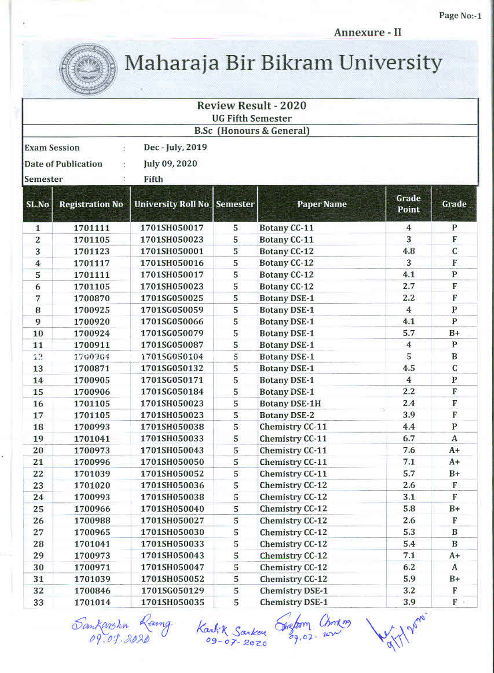Annexure - II



Maharaja Bir Bikram University

|                     |                                             |                             | <b>UG Fifth Semester</b> | <b>Review Result - 2020</b>     |                |              |
|---------------------|---------------------------------------------|-----------------------------|--------------------------|---------------------------------|----------------|--------------|
|                     |                                             |                             |                          | <b>B.Sc</b> (Honours & General) |                |              |
| <b>Exam Session</b> | ă.                                          | Dec - July, 2019            |                          |                                 |                |              |
|                     | Date of Publication<br>$\frac{1}{\sqrt{2}}$ | July 09, 2020               |                          |                                 |                |              |
| Semester            |                                             | Fifth                       |                          |                                 |                |              |
| SL.No               | <b>Registration No</b>                      | University Roll No Semester |                          | <b>Paper Name</b>               | Grade<br>Point | Grade        |
| $\mathbf{1}$        | 1701111                                     | 1701SH050017                | 5                        | Botany CC-11                    | $\overline{4}$ | $\mathbf P$  |
| 2                   | 1701105                                     | 1701SH050023                | 5                        | <b>Botany CC-11</b>             | 3              | F            |
| 3                   | 1701123                                     | 1701SH050001                | 5                        | Botany CC-12                    | 4.8            | C            |
| $\overline{\bf 4}$  | 1701117                                     | 1701SH050016                | 5                        | Botany CC-12                    | 3              | F            |
| 5                   | 1701111                                     | 1701SH050017                | 5                        | Botany CC-12                    | 4.1            | $\, {\bf P}$ |
| 6                   | 1701105                                     | 1701SH050023                | 5                        | <b>Botany CC-12</b>             | 2.7            | F            |
| 7                   | 1700870                                     | 1701SG050025                | 5                        | <b>Botany DSE-1</b>             | 2.2            | F            |
| 8                   | 1700925                                     | 1701SG050059                | 5                        | <b>Botany DSE-1</b>             | 4              | P            |
| 9                   | 1700920                                     | 1701SG050066                | 5                        | <b>Botany DSE-1</b>             | 4.1            | P            |
| 10                  | 1700924                                     | 1701SG050079                | 5                        | <b>Botany DSE-1</b>             | 5.7            | $B+$         |
| 11                  | 1700911                                     | 1701SG050087                | 5                        | <b>Botany DSE-1</b>             | 4              | P            |
| 12                  | 1700904                                     | 1701SG050104                | 5                        | <b>Botany DSE-1</b>             | 5              | B            |
| 13                  | 1700871                                     | 1701SG050132                | 5                        | <b>Botany DSE-1</b>             | 4.5            | C            |
| 14                  | 1700905                                     | 1701SG050171                | 5                        | <b>Botany DSE-1</b>             | $\overline{4}$ | $\mathbf{P}$ |
| 15                  | 1700906                                     | 1701SG050184                | 5                        | <b>Botany DSE-1</b>             | 2.2            | F            |
| 16                  | 1701105                                     | 1701SH050023                | 5                        | <b>Botany DSE-1H</b>            | 2.4            | F            |
| 17                  | 1701105                                     | 1701SH050023                | 5                        | <b>Botany DSE-2</b>             | 3.9            | F            |
| 18                  | 1700993                                     | 1701SH050038                | 5                        | Chemistry CC-11                 | 4.4            | P            |
| 19                  | 1701041                                     | 1701SH050033                | 5                        | Chemistry CC-11                 | 6.7            | A            |
| 20                  | 1700973                                     | 1701SH050043                | 5                        | Chemistry CC-11                 | 7.6            | $A+$         |
| 21                  | 1700996                                     | 1701SH050050                | 5                        | Chemistry CC-11                 | 7.1            | A+           |
| 22                  | 1701039                                     | 1701SH050052                | 5                        | Chemistry CC-11                 | 5.7            | $B+$         |
| 23                  | 1701020                                     | 1701SH050036                | 5                        | Chemistry CC-12                 | 2.6            | F            |
| 24                  | 1700993                                     | 1701SH050038                | 5                        | <b>Chemistry CC-12</b>          | 3.1            | F            |
| 25                  | 1700966                                     | 1701SH050040                | 5                        | Chemistry CC-12                 | 5.8            | $B+$         |
| 26                  | 1700988                                     | 1701SH050027                | 5                        | <b>Chemistry CC-12</b>          | 2.6            | F            |
| 27                  | 1700965                                     | 1701SH050030                | 5                        | Chemistry CC-12                 | 5.3            | B            |
| 28                  | 1701041                                     | 1701SH050033                | 5                        | Chemistry CC-12                 | 5.4            | $\bf{B}$     |
| 29                  | 1700973                                     | 1701SH050043                | 5                        | <b>Chemistry CC-12</b>          | 7.1            | $A+$         |
| 30                  | 1700971                                     | 1701SH050047                | 5                        | Chemistry CC-12                 | 6.2            | A            |
| 31                  | 1701039                                     | 1701SH050052                | 5                        | Chemistry CC-12                 | 5.9            | $B+$         |
| 32                  | 1700846                                     | 1701SG050129                | 5                        | <b>Chemistry DSE-1</b>          | 3.2            | F            |
| 33                  | 1701014                                     | 1701SH050035                | 5                        | <b>Chemistry DSE-1</b>          | 3.9            | $F$ .        |

Sankarshin Ranny Kankik Sankon Gretom Christing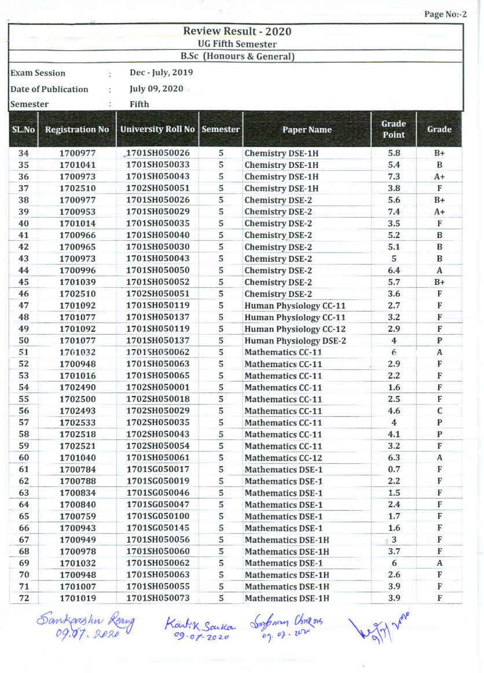|                     |                        |                                    |                          |                                 |                | Page No:-2   |
|---------------------|------------------------|------------------------------------|--------------------------|---------------------------------|----------------|--------------|
|                     |                        |                                    |                          | <b>Review Result - 2020</b>     |                |              |
|                     |                        |                                    | <b>UG Fifth Semester</b> |                                 |                |              |
|                     |                        |                                    |                          | <b>B.Sc</b> (Honours & General) |                |              |
|                     |                        |                                    |                          |                                 |                |              |
| <b>Exam Session</b> | ċ                      | Dec - July, 2019                   |                          |                                 |                |              |
|                     | Date of Publication    | July 09, 2020                      |                          |                                 |                |              |
| Semester            |                        | Fifth                              |                          |                                 |                |              |
|                     |                        |                                    |                          |                                 |                |              |
| SL.No               | <b>Registration No</b> | <b>University Roll No Semester</b> |                          | <b>Paper Name</b>               | Grade<br>Point | Grade        |
| 34                  | 1700977                | 1701SH050026                       | 5                        | <b>Chemistry DSE-1H</b>         | 5.8            | $B+$         |
| 35                  | 1701041                | 1701SH050033                       | 5                        | <b>Chemistry DSE-1H</b>         | 5.4            | B            |
| 36                  | 1700973                | 1701SH050043                       | 5                        | <b>Chemistry DSE-1H</b>         | 7.3            | $A+$         |
| 37                  | 1702510                | 1702SH050051                       | 5                        | <b>Chemistry DSE-1H</b>         | 3.8            | F            |
| 38                  | 1700977                | 1701SH050026                       | 5                        | <b>Chemistry DSE-2</b>          | 5.6            | $B+$         |
| 39                  | 1700953                | 1701SH050029                       | 5                        | <b>Chemistry DSE-2</b>          | 7.4            | A+           |
| 40                  | 1701014                | 1701SH050035                       | 5                        | <b>Chemistry DSE-2</b>          | 3.5            | F            |
| 41                  | 1700966                | 1701SH050040                       | 5                        | <b>Chemistry DSE-2</b>          | 5.2            | B            |
| 42                  | 1700965                | 1701SH050030                       | 5                        | <b>Chemistry DSE-2</b>          | 5.1            | B            |
| 43                  | 1700973                | 1701SH050043                       | 5                        | Chemistry DSE-2                 | 5              | B            |
| 44                  | 1700996                | 1701SH050050                       | 5                        | <b>Chemistry DSE-2</b>          | 6.4            | A            |
| 45                  | 1701039                | 1701SH050052                       | 5                        | <b>Chemistry DSE-2</b>          | 5.7            | $B+$         |
| 46                  | 1702510                | 1702SH050051                       | 5                        | <b>Chemistry DSE-2</b>          | 3.6            | F            |
| 47                  | 1701092                | 1701SH050119                       | 5                        | Human Physiology CC-11          | 2.7            | F            |
| 48                  | 1701077                | 1701SH050137                       | 5                        | Human Physiology CC-11          | 3.2            | F            |
| 49                  | 1701092                | 1701SH050119                       | 5                        | Human Physiology CC-12          | 2.9            | F            |
| 50                  | 1701077                | 1701SH050137                       | 5                        | <b>Human Physiology DSE-2</b>   | 4              | $\mathbf{P}$ |
| 51                  | 1701032                | 1701SH050062                       | 5                        | Mathematics CC-11               | 6              | $\mathbf{A}$ |
| 52                  | 1700948                | 1701SH050063                       | 5                        | Mathematics CC-11               | 2.9            | F            |
| 53                  | 1701016                | 1701SH050065                       | 5                        | Mathematics CC-11               | $2.2^{\circ}$  | $\mathbf F$  |
| 54                  | 1702490                | 1702SH050001                       | 5                        | Mathematics CC-11               | 1.6            | F            |
| 55                  | 1702500                | 1702SH050018                       | 5                        | Mathematics CC-11               | 2.5            | F            |
| 56                  | 1702493                | 1702SH050029                       | 5                        | Mathematics CC-11               | 4.6            | С            |
| 57                  | 1702533                | 1702SH050035                       | 5                        | Mathematics CC-11               | $4 -$          | P            |
| 58                  | 1702518                | 1702SH050043                       | 5                        | Mathematics CC-11               | 4.1            | P            |
| 59                  | 1702521                | 1702SH050054                       | 5                        | Mathematics CC-11               | 3.2            | F            |
| 60                  | 1701040                | 1701SH050061                       | 5                        | Mathematics CC-12               | 6.3            | A            |
| 61                  | 1700784                | 1701SG050017                       | 5                        | <b>Mathematics DSE-1</b>        | 0.7            | F            |
| 62                  | 1700788                | 1701SG050019                       | 5                        | <b>Mathematics DSE-1</b>        | $2.2^{\circ}$  | F            |
| 63                  | 1700834                | 1701SG050046                       | 5                        | <b>Mathematics DSE-1</b>        | $1.5\,$        | F            |
| 64                  | 1700840                | 1701SG050047                       | 5                        | <b>Mathematics DSE-1</b>        | 2.4            | F            |
| 65                  | 1700759                | 1701SG050100                       | 5                        | <b>Mathematics DSE-1</b>        | 1.7            | F            |
| 66                  | 1700943                | 1701SG050145                       | 5                        | <b>Mathematics DSE-1</b>        | 1.6            | F            |
| 67                  | 1700949                | 1701SH050056                       | 5                        | Mathematics DSE-1H              | 3              | F            |
| 68                  | 1700978                | 1701SH050060                       | 5                        | <b>Mathematics DSE-1H</b>       | 3.7            | F            |
| 69                  | 1701032                | 1701SH050062                       | 5                        | <b>Mathematics DSE-1</b>        | 6              | A            |
| 70                  | 1700948                | 1701SH050063                       | 5                        | <b>Mathematics DSE-1H</b>       | 2.6            | F            |
| 71                  | 1701007                | 1701SH050055                       | 5                        | Mathematics DSE-1H              | 3.9            | F            |
| 72                  | 1701019                | 1701SH050073                       | 5                        | <b>Mathematics DSE-1H</b>       | 3.9            | F            |
|                     |                        |                                    |                          |                                 |                |              |

Sankarshin Reang<br>09.07.2020

Kartik Sackan Sophony Chingos

9/7 have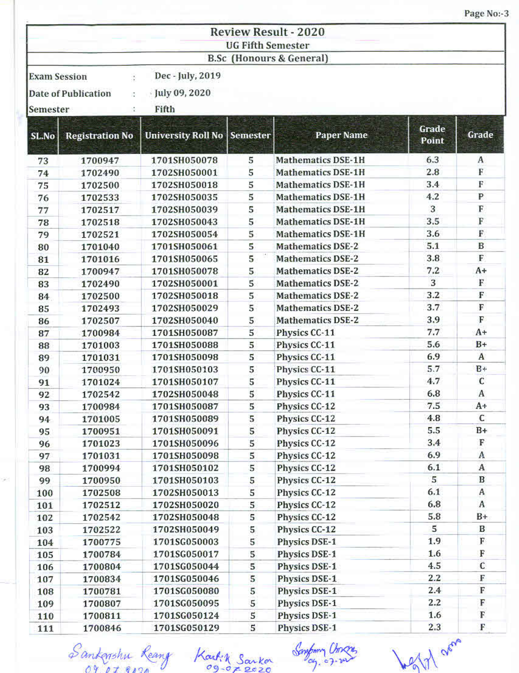|                                                                 |                           |                           |                          |                                 |                | Page No:-3   |
|-----------------------------------------------------------------|---------------------------|---------------------------|--------------------------|---------------------------------|----------------|--------------|
|                                                                 |                           |                           |                          | <b>Review Result - 2020</b>     |                |              |
|                                                                 |                           |                           | <b>UG Fifth Semester</b> |                                 |                |              |
|                                                                 |                           |                           |                          | <b>B.Sc</b> (Honours & General) |                |              |
|                                                                 | <b>Exam Session</b><br>ţ. | Dec - July, 2019          |                          |                                 |                |              |
|                                                                 |                           |                           |                          |                                 |                |              |
| $\frac{1}{2}$ July 09, 2020<br><b>Date of Publication</b><br>Ø. |                           |                           |                          |                                 |                |              |
| Semester                                                        | Ť.                        | Fifth                     |                          |                                 |                |              |
| SL.No                                                           | <b>Registration No</b>    | <b>University Roll No</b> | <b>Semester</b>          | <b>Paper Name</b>               | Grade<br>Point | Grade        |
| 73                                                              | 1700947                   | 1701SH050078              | 5                        | <b>Mathematics DSE-1H</b>       | 6.3            | A            |
| 74                                                              | 1702490                   | 1702SH050001              | 5                        | <b>Mathematics DSE-1H</b>       | 2.8            | F            |
| 75                                                              | 1702500                   | 1702SH050018              | 5                        | <b>Mathematics DSE-1H</b>       | 3.4            | F            |
| 76                                                              | 1702533                   | 1702SH050035              | 5                        | <b>Mathematics DSE-1H</b>       | 4.2            | P            |
| 77                                                              | 1702517                   | 1702SH050039              | 5                        | <b>Mathematics DSE-1H</b>       | 3              | F            |
| 78                                                              | 1702518                   | 1702SH050043              | 5                        | <b>Mathematics DSE-1H</b>       | 3.5            | F            |
| 79                                                              | 1702521                   | 1702SH050054              | 5                        | <b>Mathematics DSE-1H</b>       | 3.6            | F            |
| 80                                                              | 1701040                   | 1701SH050061              | 5                        | <b>Mathematics DSE-2</b>        | 5.1            | B            |
| 81                                                              | 1701016                   | 1701SH050065              | 5                        | <b>Mathematics DSE-2</b>        | 3.8            | F            |
| 82                                                              | 1700947                   | 1701SH050078              | 5                        | <b>Mathematics DSE-2</b>        | 7.2            | $A+$         |
| 83                                                              | 1702490                   | 1702SH050001              | 5                        | <b>Mathematics DSE-2</b>        | 3              | F            |
| 84                                                              | 1702500                   | 1702SH050018              | 5                        | <b>Mathematics DSE-2</b>        | 3.2            | F            |
| 85                                                              | 1702493                   | 1702SH050029              | 5                        | <b>Mathematics DSE-2</b>        | 3.7            | $\mathbb F$  |
| 86                                                              | 1702507                   | 1702SH050040              | 5                        | <b>Mathematics DSE-2</b>        | 3.9            | F            |
| 87                                                              | 1700984                   | 1701SH050087              | 5                        | Physics CC-11                   | 7.7            | $A+$         |
| 88                                                              | 1701003                   | 1701SH050088              | 5                        | Physics CC-11                   | 5.6            | $B+$         |
| 89                                                              | 1701031                   | 1701SH050098              | 5                        | Physics CC-11                   | 6.9            | $\mathbf{A}$ |
| 90                                                              | 1700950                   | 1701SH050103              | 5                        | Physics CC-11                   | 5.7            | $B +$        |
| 91                                                              | 1701024                   | 1701SH050107              | 5                        | Physics CC-11                   | 4.7            | C            |
| 92                                                              | 1702542                   | 1702SH050048              | 5                        | Physics CC-11                   | 6.8            | A            |
| 93                                                              | 1700984                   | 1701SH050087              | 5                        | Physics CC-12                   | 7.5            | A+           |
| 94                                                              | 1701005                   | 1701SH050089              | 5                        | Physics CC-12                   | 4.8            | c            |
| 95                                                              | 1700951                   | 1701SH050091              | 5                        | Physics CC-12                   | 5.5            | $B+$         |
| 96                                                              | 1701023                   | 1701SH050096              | 5                        | Physics CC-12                   | 3.4            | F            |
| 97                                                              | 1701031                   | 1701SH050098              | 5                        | Physics CC-12                   | 6.9            | A            |
| 98                                                              | 1700994                   | 1701SH050102              | 5                        | Physics CC-12                   | 6.1            | $\,$ A       |
| 99                                                              | 1700950                   | 1701SH050103              | 5                        | Physics CC-12                   | 5              | В            |
| 100                                                             | 1702508                   | 1702SH050013              | 5                        | Physics CC-12                   | 6.1            | A            |
| 101                                                             | 1702512                   | 1702SH050020              | 5                        | Physics CC-12                   | 6,8            | A.           |
| 102                                                             | 1702542                   | 1702SH050048              | 5                        | Physics CC-12                   | 5.8            | $B+$         |
| 103                                                             | 1702522                   | 1702SH050049              | 5                        | Physics CC-12                   | 5              | В            |
| 104                                                             | 1700775                   | 1701SG050003              | 5                        | Physics DSE-1                   | 1.9            | F            |
| 105                                                             | 1700784                   | 1701SG050017              | 5                        | <b>Physics DSE-1</b>            | 1.6            | F            |
| 106                                                             | 1700804                   | 1701SG050044              | 5                        | Physics DSE-1                   | 4.5            | C            |
| 107                                                             | 1700834                   | 1701SG050046              | 5                        | <b>Physics DSE-1</b>            | 2.2            | F            |
| 108                                                             | 1700781                   | 1701SG050080              | 5                        | Physics DSE-1                   | 2.4            | $\mathbb F$  |
| 109                                                             | 1700807                   | 1701SG050095              | 5                        | Physics DSE-1                   | 2.2            | F            |
| 110                                                             | 1700811                   | 1701SG050124              | 5                        | <b>Physics DSE-1</b>            | 1.6            | F            |
| 111                                                             | 1700846                   | 1701SG050129              | $5^{\circ}$              | <b>Physics DSE-1</b>            | 2.3            | F.           |

Santarshu Reang Karkin Sankor

Sanform Chosen

Lengt arm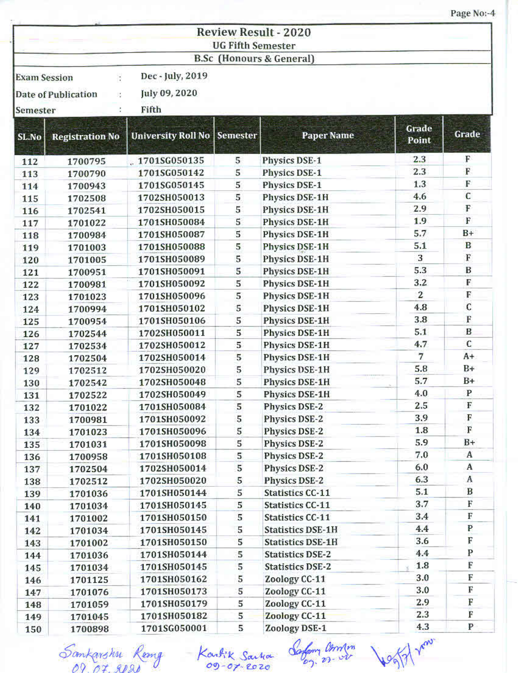Page No:-4

|                                 |                          |                                            | <b>UG Fifth Semester</b> | <b>Review Result - 2020</b><br>B.Sc (Honours & General) |                |              |
|---------------------------------|--------------------------|--------------------------------------------|--------------------------|---------------------------------------------------------|----------------|--------------|
| <b>Exam Session</b><br>Semester | ÷<br>Date of Publication | Dec - July, 2019<br>July 09, 2020<br>Fifth |                          |                                                         |                |              |
| SL.No                           | <b>Registration No</b>   | University Roll No Semester                |                          | <b>Paper Name</b>                                       | Grade<br>Point | Grade        |
| 112                             | 1700795                  | .1701SG050135                              | 5                        | <b>Physics DSE-1</b>                                    | 2.3            | F            |
| 113                             | 1700790                  | 1701SG050142                               | 5                        | Physics DSE-1                                           | 2.3            | $\mathbf F$  |
| 114                             | 1700943                  | 1701SG050145                               | 5                        | Physics DSE-1                                           | 1.3            | F            |
| 115                             | 1702508                  | 1702SH050013                               | 5                        | <b>Physics DSE-1H</b>                                   | 4.6            | $\mathbf C$  |
| 116                             | 1702541                  | 1702SH050015                               | 5                        | Physics DSE-1H                                          | 2.9            | F            |
| 117                             | 1701022                  | 1701SH050084                               | 5                        | Physics DSE-1H                                          | 1.9            | F            |
| 118                             | 1700984                  | 1701SH050087                               | 5                        | Physics DSE-1H                                          | 5.7            | $B+$         |
| 119                             | 1701003                  | 1701SH050088                               | 5                        | <b>Physics DSE-1H</b>                                   | 5.1            | B            |
| 120                             | 1701005                  | 1701SH050089                               | 5                        | Physics DSE-1H                                          | 3              | F            |
| 121                             | 1700951                  | 1701SH050091                               | 5                        | Physics DSE-1H                                          | 5.3            | B            |
| 122                             | 1700981                  | 1701SH050092                               | 5                        | Physics DSE-1H                                          | 3.2            | F            |
| 123                             | 1701023                  | 1701SH050096                               | 5                        | <b>Physics DSE-1H</b>                                   | $\overline{2}$ | F            |
| 124                             | 1700994                  | 1701SH050102                               | 5                        | <b>Physics DSE-1H</b>                                   | 4.8            | C            |
| 125                             | 1700954                  | 1701SH050106                               | 5                        | Physics DSE-1H                                          | 3.8            | F            |
| 126                             | 1702544                  | 1702SH050011                               | 5                        | Physics DSE-1H                                          | 5.1            | B            |
| 127                             | 1702534                  | 1702SH050012                               | 5                        | Physics DSE-1H                                          | 4.7            | C            |
| 128                             | 1702504                  | 1702SH050014                               | 5                        | Physics DSE-1H                                          | 7              | $A+$         |
| 129                             | 1702512                  | 1702SH050020                               | 5                        | Physics DSE-1H                                          | 5.8            | B+           |
| 130                             | 1702542                  | 1702SH050048                               | 5                        | Physics DSE-1H                                          | 5.7            | $B+$         |
| 131                             | 1702522                  | 1702SH050049                               | 5                        | Physics DSE-1H                                          | 4.0            | $\mathbf{P}$ |
| 132                             | 1701022                  | 1701SH050084                               | 5                        | <b>Physics DSE-2</b>                                    | 2.5            | F            |
| 133                             | 1700981                  | 1701SH050092                               | 5                        | <b>Physics DSE-2</b>                                    | 3.9            | F            |
| 134                             | 1701023                  | 1701SH050096                               | 5                        | Physics DSE-2                                           | 1.8            | F            |
| 135                             | 1701031                  | 1701SH050098                               | 5                        | Physics DSE-2                                           | 5.9            | $B+$         |
| 136                             | 1700958                  | 1701SH050108                               | 5                        | Physics DSE-2                                           | 7.0            | A            |
| 137                             | 1702504                  | 1702SH050014                               | 5                        | Physics DSE-2                                           | 6.0            | A            |
| 138                             | 1702512                  | 1702SH050020                               | 5                        | Physics DSE-2                                           | 6.3            | A            |
| 139                             | 1701036                  | 1701SH050144                               | 5                        | <b>Statistics CC-11</b>                                 | 5.1            | B            |
| 140                             | 1701034                  | 1701SH050145                               | 5                        | Statistics CC-11                                        | 3.7            | F            |
| 141                             | 1701002                  | 1701SH050150                               | 5                        | <b>Statistics CC-11</b>                                 | 3.4            | F            |
| 142                             | 1701034                  | 1701SH050145                               | 5                        | <b>Statistics DSE-1H</b>                                | 4.4            | P            |
| 143                             | 1701002                  | 1701SH050150                               | 5                        | <b>Statistics DSE-1H</b>                                | 3.6            | F            |
| 144                             | 1701036                  | 1701SH050144                               | 5                        | <b>Statistics DSE-2</b>                                 | 4.4            | P            |
| 145                             | 1701034                  | 1701SH050145                               | 5                        | <b>Statistics DSE-2</b>                                 | 1.8            | F            |
| 146                             | 1701125                  | 1701SH050162                               | 5                        | Zoology CC-11                                           | 3.0            | F            |
| 147                             | 1701076                  | 1701SH050173                               | 5                        | Zoology CC-11                                           | 3.0            | F            |
| 148                             | 1701059                  | 1701SH050179                               | 5                        | Zoology CC-11                                           | 2.9            | F            |
| 149                             | 1701045                  | 1701SH050182                               | 5                        | Zoology CC-11                                           | 2.3            | F            |
| 150                             | 1700898                  | 1701SG050001                               | 5                        | Zoology DSE-1                                           | 4.3            | P            |

Sankarshu Remy Kartik Saina Safam annim Joggi von